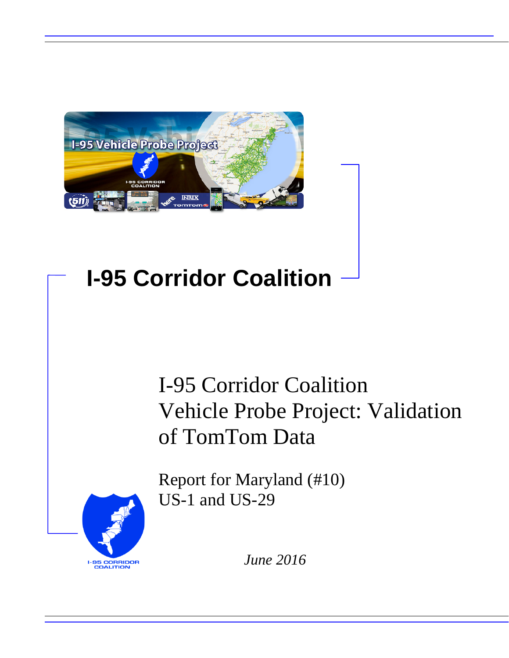

# **I-95 Corridor Coalition**

# I-95 Corridor Coalition Vehicle Probe Project: Validation of TomTom Data

Report for Maryland (#10) US-1 and US-29



*June 2016*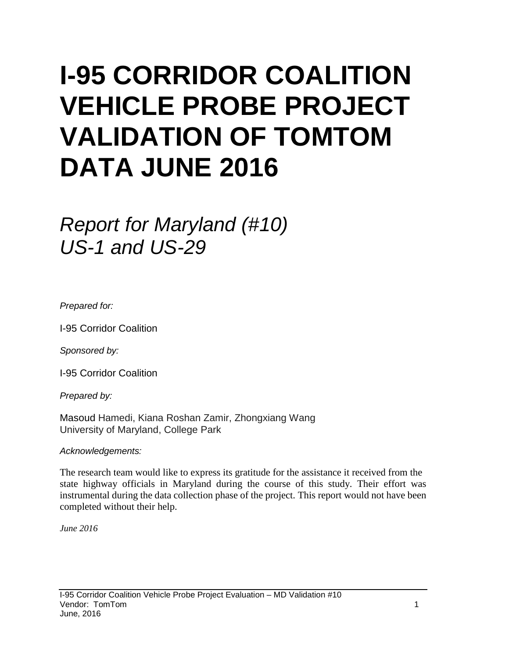# **I-95 CORRIDOR COALITION VEHICLE PROBE PROJECT VALIDATION OF TOMTOM DATA JUNE 2016**

# *Report for Maryland (#10) US-1 and US-29*

*Prepared for:*

I-95 Corridor Coalition

*Sponsored by:*

I-95 Corridor Coalition

*Prepared by:*

Masoud Hamedi, Kiana Roshan Zamir, Zhongxiang Wang University of Maryland, College Park

*Acknowledgements:*

The research team would like to express its gratitude for the assistance it received from the state highway officials in Maryland during the course of this study. Their effort was instrumental during the data collection phase of the project. This report would not have been completed without their help.

*June 2016*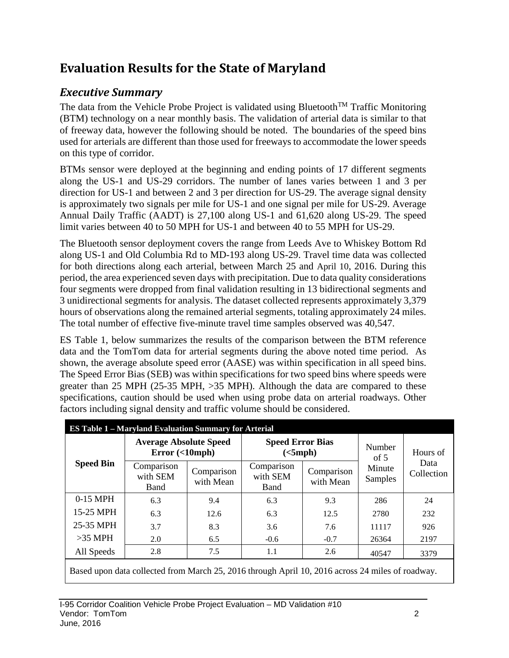# **Evaluation Results for the State of Maryland**

# *Executive Summary*

The data from the Vehicle Probe Project is validated using Bluetooth<sup>TM</sup> Traffic Monitoring (BTM) technology on a near monthly basis. The validation of arterial data is similar to that of freeway data, however the following should be noted. The boundaries of the speed bins used for arterials are different than those used for freeways to accommodate the lower speeds on this type of corridor.

BTMs sensor were deployed at the beginning and ending points of 17 different segments along the US-1 and US-29 corridors. The number of lanes varies between 1 and 3 per direction for US-1 and between 2 and 3 per direction for US-29. The average signal density is approximately two signals per mile for US-1 and one signal per mile for US-29. Average Annual Daily Traffic (AADT) is 27,100 along US-1 and 61,620 along US-29. The speed limit varies between 40 to 50 MPH for US-1 and between 40 to 55 MPH for US-29.

The Bluetooth sensor deployment covers the range from Leeds Ave to Whiskey Bottom Rd along US-1 and Old Columbia Rd to MD-193 along US-29. Travel time data was collected for both directions along each arterial, between March 25 and April 10, 2016. During this period, the area experienced seven days with precipitation. Due to data quality considerations four segments were dropped from final validation resulting in 13 bidirectional segments and 3 unidirectional segments for analysis. The dataset collected represents approximately 3,379 hours of observations along the remained arterial segments, totaling approximately 24 miles. The total number of effective five-minute travel time samples observed was 40,547.

ES Table 1, below summarizes the results of the comparison between the BTM reference data and the TomTom data for arterial segments during the above noted time period. As shown, the average absolute speed error (AASE) was within specification in all speed bins. The Speed Error Bias (SEB) was within specifications for two speed bins where speeds were greater than 25 MPH (25-35 MPH, >35 MPH). Although the data are compared to these specifications, caution should be used when using probe data on arterial roadways. Other factors including signal density and traffic volume should be considered.

|                  | <b>ES Table 1 - Maryland Evaluation Summary for Arterial</b>                                    |                         |                                     |                         |                          |                    |  |
|------------------|-------------------------------------------------------------------------------------------------|-------------------------|-------------------------------------|-------------------------|--------------------------|--------------------|--|
|                  | <b>Average Absolute Speed</b><br>Error(<10mph)                                                  |                         | <b>Speed Error Bias</b><br>(<5 mph) |                         | Number<br>of $5$         | Hours of           |  |
| <b>Speed Bin</b> | Comparison<br>with SEM<br>Band                                                                  | Comparison<br>with Mean | Comparison<br>with SEM<br>Band      | Comparison<br>with Mean | Minute<br><b>Samples</b> | Data<br>Collection |  |
| $0-15$ MPH       | 6.3                                                                                             | 9.4                     | 6.3                                 | 9.3                     | 286                      | 24                 |  |
| 15-25 MPH        | 6.3                                                                                             | 12.6                    | 6.3                                 | 12.5                    | 2780                     | 232                |  |
| 25-35 MPH        | 3.7                                                                                             | 8.3                     | 3.6                                 | 7.6                     | 11117                    | 926                |  |
| $>35$ MPH        | 2.0                                                                                             | 6.5                     | $-0.6$                              | $-0.7$                  | 26364                    | 2197               |  |
| All Speeds       | 2.8                                                                                             | 7.5                     | 1.1                                 | 2.6                     | 40547                    | 3379               |  |
|                  | Besed upon data collected from March 25, 2016 through April 10, 2016 ecoses 24 miles of readway |                         |                                     |                         |                          |                    |  |

Based upon data collected from March 25, 2016 through April 10, 2016 across 24 miles of roadway.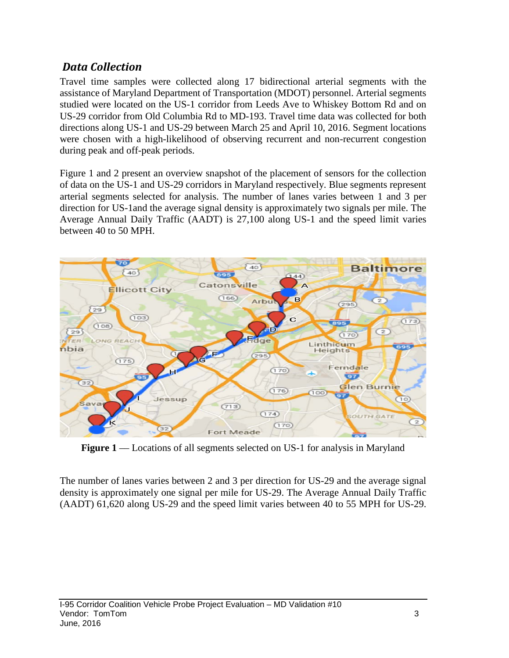# *Data Collection*

Travel time samples were collected along 17 bidirectional arterial segments with the assistance of Maryland Department of Transportation (MDOT) personnel. Arterial segments studied were located on the US-1 corridor from Leeds Ave to Whiskey Bottom Rd and on US-29 corridor from Old Columbia Rd to MD-193. Travel time data was collected for both directions along US-1 and US-29 between March 25 and April 10, 2016. Segment locations were chosen with a high-likelihood of observing recurrent and non-recurrent congestion during peak and off-peak periods.

Figure 1 and 2 present an overview snapshot of the placement of sensors for the collection of data on the US-1 and US-29 corridors in Maryland respectively. Blue segments represent arterial segments selected for analysis. The number of lanes varies between 1 and 3 per direction for US-1and the average signal density is approximately two signals per mile. The Average Annual Daily Traffic (AADT) is 27,100 along US-1 and the speed limit varies between 40 to 50 MPH.



**Figure 1** –– Locations of all segments selected on US-1 for analysis in Maryland

The number of lanes varies between 2 and 3 per direction for US-29 and the average signal density is approximately one signal per mile for US-29. The Average Annual Daily Traffic (AADT) 61,620 along US-29 and the speed limit varies between 40 to 55 MPH for US-29.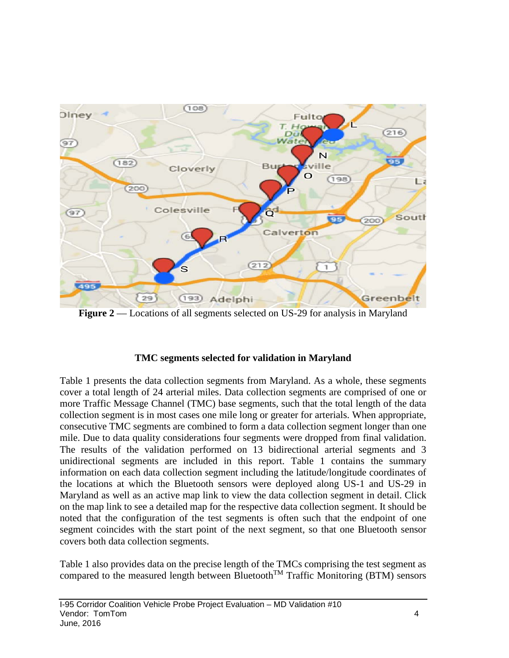

**Figure 2** — Locations of all segments selected on US-29 for analysis in Maryland

#### **TMC segments selected for validation in Maryland**

Table 1 presents the data collection segments from Maryland. As a whole, these segments cover a total length of 24 arterial miles. Data collection segments are comprised of one or more Traffic Message Channel (TMC) base segments, such that the total length of the data collection segment is in most cases one mile long or greater for arterials. When appropriate, consecutive TMC segments are combined to form a data collection segment longer than one mile. Due to data quality considerations four segments were dropped from final validation. The results of the validation performed on 13 bidirectional arterial segments and 3 unidirectional segments are included in this report. Table 1 contains the summary information on each data collection segment including the latitude/longitude coordinates of the locations at which the Bluetooth sensors were deployed along US-1 and US-29 in Maryland as well as an active map link to view the data collection segment in detail. Click on the map link to see a detailed map for the respective data collection segment. It should be noted that the configuration of the test segments is often such that the endpoint of one segment coincides with the start point of the next segment, so that one Bluetooth sensor covers both data collection segments.

Table 1 also provides data on the precise length of the TMCs comprising the test segment as compared to the measured length between Bluetooth<sup>TM</sup> Traffic Monitoring (BTM) sensors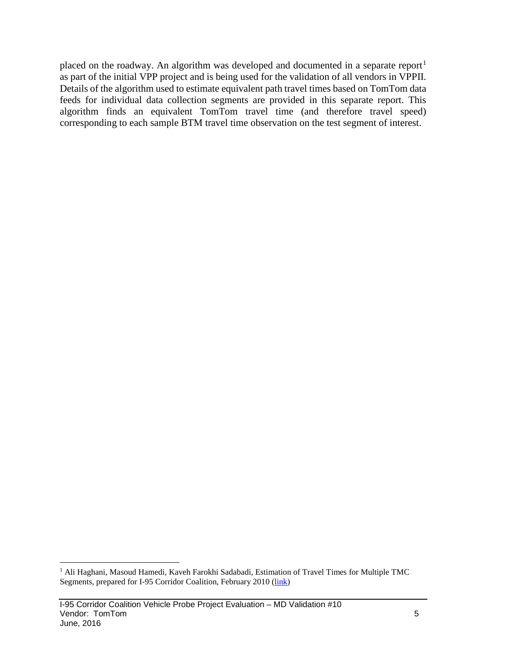placed on the roadway. An algorithm was developed and documented in a separate report<sup>[1](#page-5-0)</sup> as part of the initial VPP project and is being used for the validation of all vendors in VPPII. Details of the algorithm used to estimate equivalent path travel times based on TomTom data feeds for individual data collection segments are provided in this separate report. This algorithm finds an equivalent TomTom travel time (and therefore travel speed) corresponding to each sample BTM travel time observation on the test segment of interest.

<span id="page-5-0"></span><sup>&</sup>lt;sup>1</sup> Ali Haghani, Masoud Hamedi, Kaveh Farokhi Sadabadi, Estimation of Travel Times for Multiple TMC Segments, prepared for I-95 Corridor Coalition, February 2010 [\(link\)](http://www.i95coalition.org/wp-content/uploads/2015/02/I-95-CC-Estimation-of-Travel-Times-for-Multiple-TMC-Segments-FINAL2.pdf)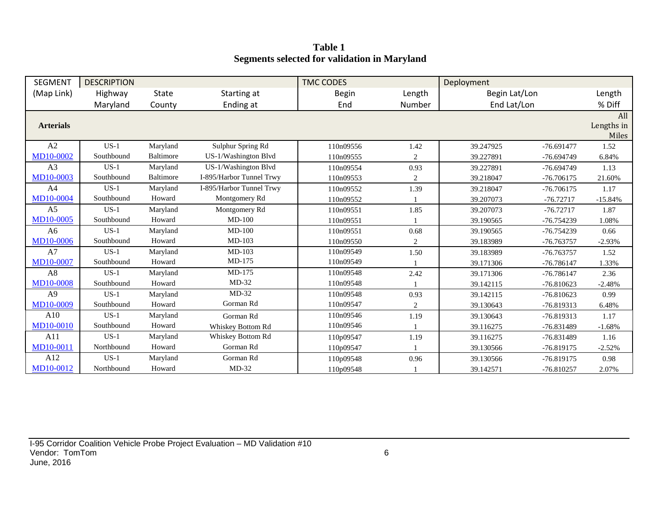**Table 1 Segments selected for validation in Maryland**

| <b>SEGMENT</b>   | <b>DESCRIPTION</b> |              |                          | <b>TMC CODES</b> |              | Deployment    |              |                            |
|------------------|--------------------|--------------|--------------------------|------------------|--------------|---------------|--------------|----------------------------|
| (Map Link)       | Highway            | <b>State</b> | Starting at              | <b>Begin</b>     | Length       | Begin Lat/Lon |              | Length                     |
|                  | Maryland           | County       | Ending at                | End              | Number       | End Lat/Lon   |              | % Diff                     |
| <b>Arterials</b> |                    |              |                          |                  |              |               |              | All<br>Lengths in<br>Miles |
| A2               | $US-1$             | Maryland     | Sulphur Spring Rd        | 110n09556        | 1.42         | 39.247925     | $-76.691477$ | 1.52                       |
| MD10-0002        | Southbound         | Baltimore    | US-1/Washington Blvd     | 110n09555        | 2            | 39.227891     | $-76.694749$ | 6.84%                      |
| A <sub>3</sub>   | $US-1$             | Maryland     | US-1/Washington Blvd     | 110n09554        | 0.93         | 39.227891     | $-76.694749$ | 1.13                       |
| MD10-0003        | Southbound         | Baltimore    | I-895/Harbor Tunnel Trwy | 110n09553        | 2            | 39.218047     | -76.706175   | 21.60%                     |
| A <sub>4</sub>   | $US-1$             | Maryland     | I-895/Harbor Tunnel Trwy | 110n09552        | 1.39         | 39.218047     | $-76.706175$ | 1.17                       |
| <b>MD10-0004</b> | Southbound         | Howard       | Montgomery Rd            | 110n09552        |              | 39.207073     | $-76.72717$  | $-15.84%$                  |
| A <sub>5</sub>   | $US-1$             | Maryland     | Montgomery Rd            | 110n09551        | 1.85         | 39.207073     | $-76.72717$  | 1.87                       |
| MD10-0005        | Southbound         | Howard       | $MD-100$                 | 110n09551        |              | 39.190565     | -76.754239   | 1.08%                      |
| A <sub>6</sub>   | $US-1$             | Maryland     | $MD-100$                 | 110n09551        | 0.68         | 39.190565     | $-76.754239$ | 0.66                       |
| <b>MD10-0006</b> | Southbound         | Howard       | $MD-103$                 | 110n09550        | $\mathbf{2}$ | 39.183989     | -76.763757   | $-2.93%$                   |
| A7               | $US-1$             | Maryland     | $MD-103$                 | 110n09549        | 1.50         | 39.183989     | $-76.763757$ | 1.52                       |
| <b>MD10-0007</b> | Southbound         | Howard       | $MD-175$                 | 110n09549        |              | 39.171306     | $-76.786147$ | 1.33%                      |
| A8               | $US-1$             | Maryland     | MD-175                   | 110n09548        | 2.42         | 39.171306     | -76.786147   | 2.36                       |
| <b>MD10-0008</b> | Southbound         | Howard       | $MD-32$                  | 110n09548        |              | 39.142115     | $-76.810623$ | $-2.48%$                   |
| A <sub>9</sub>   | $US-1$             | Maryland     | $MD-32$                  | 110n09548        | 0.93         | 39.142115     | $-76.810623$ | 0.99                       |
| MD10-0009        | Southbound         | Howard       | Gorman Rd                | 110n09547        | 2            | 39.130643     | -76.819313   | 6.48%                      |
| A10              | $US-1$             | Maryland     | Gorman Rd                | 110n09546        | 1.19         | 39.130643     | $-76.819313$ | 1.17                       |
| <b>MD10-0010</b> | Southbound         | Howard       | <b>Whiskey Bottom Rd</b> | 110n09546        |              | 39.116275     | -76.831489   | $-1.68%$                   |
| A11              | $US-1$             | Maryland     | Whiskey Bottom Rd        | 110p09547        | 1.19         | 39.116275     | -76.831489   | 1.16                       |
| MD10-0011        | Northbound         | Howard       | Gorman Rd                | 110p09547        |              | 39.130566     | -76.819175   | $-2.52%$                   |
| A12              | $US-1$             | Maryland     | Gorman Rd                | 110p09548        | 0.96         | 39.130566     | $-76.819175$ | 0.98                       |
| MD10-0012        | Northbound         | Howard       | $MD-32$                  | 110p09548        |              | 39.142571     | $-76.810257$ | 2.07%                      |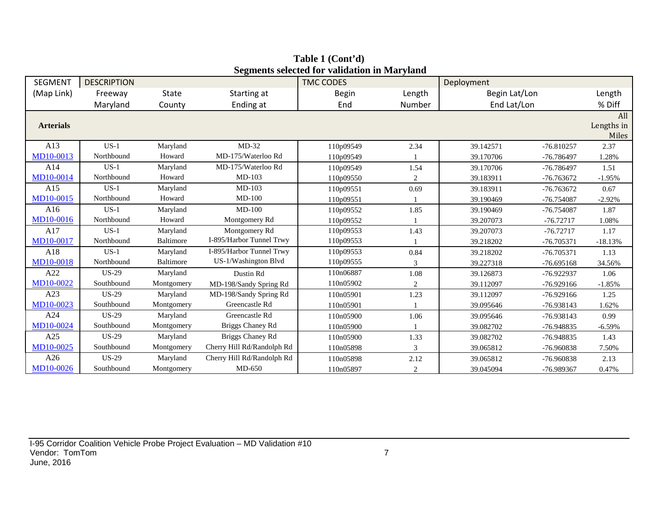| <b>SEGMENT</b>   | <b>DESCRIPTION</b> |                  |                            | beginems selected for vandation in Maryland<br><b>TMC CODES</b> |        | Deployment    |              |                            |
|------------------|--------------------|------------------|----------------------------|-----------------------------------------------------------------|--------|---------------|--------------|----------------------------|
| (Map Link)       | Freeway            | <b>State</b>     | Starting at                | <b>Begin</b>                                                    | Length | Begin Lat/Lon |              | Length                     |
|                  | Maryland           | County           | Ending at                  | End                                                             | Number | End Lat/Lon   |              | % Diff                     |
| <b>Arterials</b> |                    |                  |                            |                                                                 |        |               |              | All<br>Lengths in<br>Miles |
| A13              | $US-1$             | Maryland         | $MD-32$                    | 110p09549                                                       | 2.34   | 39.142571     | $-76.810257$ | 2.37                       |
| MD10-0013        | Northbound         | Howard           | MD-175/Waterloo Rd         | 110p09549                                                       |        | 39.170706     | -76.786497   | 1.28%                      |
| A14              | $US-1$             | Maryland         | MD-175/Waterloo Rd         | 110p09549                                                       | 1.54   | 39.170706     | -76.786497   | 1.51                       |
| MD10-0014        | Northbound         | Howard           | MD-103                     | 110p09550                                                       | 2      | 39.183911     | -76.763672   | $-1.95%$                   |
| A15              | $US-1$             | Maryland         | $MD-103$                   | 110p09551                                                       | 0.69   | 39.183911     | $-76.763672$ | 0.67                       |
| MD10-0015        | Northbound         | Howard           | $MD-100$                   | 110p09551                                                       |        | 39.190469     | $-76.754087$ | $-2.92%$                   |
| A16              | $US-1$             | Maryland         | $MD-100$                   | 110p09552                                                       | 1.85   | 39.190469     | -76.754087   | 1.87                       |
| MD10-0016        | Northbound         | Howard           | Montgomery Rd              | 110p09552                                                       |        | 39.207073     | $-76.72717$  | 1.08%                      |
| A17              | $US-1$             | Maryland         | Montgomery Rd              | 110p09553                                                       | 1.43   | 39.207073     | $-76.72717$  | 1.17                       |
| MD10-0017        | Northbound         | <b>Baltimore</b> | I-895/Harbor Tunnel Trwy   | 110p09553                                                       |        | 39.218202     | $-76.705371$ | $-18.13%$                  |
| A18              | $US-1$             | Maryland         | I-895/Harbor Tunnel Trwy   | 110p09553                                                       | 0.84   | 39.218202     | $-76.705371$ | 1.13                       |
| <b>MD10-0018</b> | Northbound         | Baltimore        | US-1/Washington Blvd       | 110p09555                                                       | 3      | 39.227318     | $-76.695168$ | 34.56%                     |
| A22              | $US-29$            | Maryland         | Dustin Rd                  | 110n06887                                                       | 1.08   | 39.126873     | -76.922937   | 1.06                       |
| MD10-0022        | Southbound         | Montgomery       | MD-198/Sandy Spring Rd     | 110n05902                                                       | 2      | 39.112097     | $-76.929166$ | $-1.85%$                   |
| A23              | <b>US-29</b>       | Maryland         | MD-198/Sandy Spring Rd     | 110n05901                                                       | 1.23   | 39.112097     | $-76.929166$ | 1.25                       |
| MD10-0023        | Southbound         | Montgomery       | Greencastle Rd             | 110n05901                                                       |        | 39.095646     | -76.938143   | 1.62%                      |
| A24              | $US-29$            | Maryland         | Greencastle Rd             | 110n05900                                                       | 1.06   | 39.095646     | -76.938143   | 0.99                       |
| MD10-0024        | Southbound         | Montgomery       | Briggs Chaney Rd           | 110n05900                                                       |        | 39.082702     | -76.948835   | $-6.59%$                   |
| A25              | $US-29$            | Maryland         | Briggs Chaney Rd           | 110n05900                                                       | 1.33   | 39.082702     | -76.948835   | 1.43                       |
| MD10-0025        | Southbound         | Montgomery       | Cherry Hill Rd/Randolph Rd | 110n05898                                                       | 3      | 39.065812     | -76.960838   | 7.50%                      |
| A26              | <b>US-29</b>       | Maryland         | Cherry Hill Rd/Randolph Rd | 110n05898                                                       | 2.12   | 39.065812     | -76.960838   | 2.13                       |
| MD10-0026        | Southbound         | Montgomery       | MD-650                     | 110n05897                                                       | 2      | 39.045094     | -76.989367   | 0.47%                      |

**Table 1 (Cont'd) Segments selected for validation in Maryland**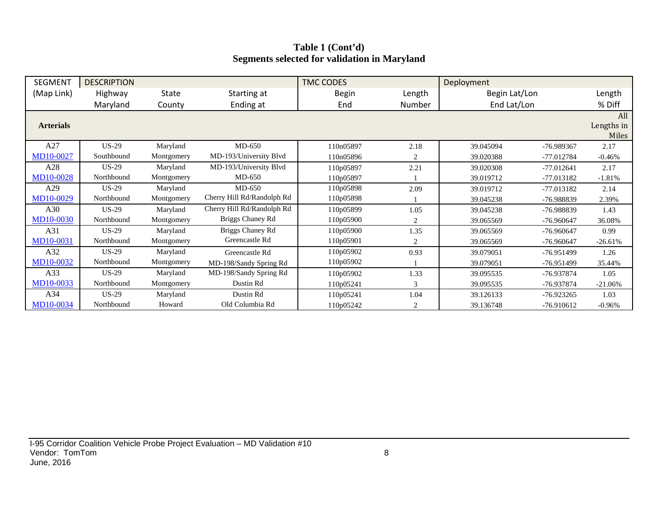## **Table 1 (Cont'd) Segments selected for validation in Maryland**

| <b>SEGMENT</b>   | <b>DESCRIPTION</b> |            |                            | <b>TMC CODES</b> |        | Deployment    |              |            |
|------------------|--------------------|------------|----------------------------|------------------|--------|---------------|--------------|------------|
| (Map Link)       | Highway            | State      | Starting at                | <b>Begin</b>     | Length | Begin Lat/Lon |              | Length     |
|                  | Maryland           | County     | Ending at                  | End              | Number | End Lat/Lon   |              | % Diff     |
|                  |                    |            |                            |                  |        |               |              | All        |
| <b>Arterials</b> |                    |            |                            |                  |        |               |              | Lengths in |
|                  |                    |            |                            |                  |        |               |              | Miles      |
| A27              | $US-29$            | Maryland   | $MD-650$                   | 110n05897        | 2.18   | 39.045094     | -76.989367   | 2.17       |
| MD10-0027        | Southbound         | Montgomery | MD-193/University Blvd     | 110n05896        | 2      | 39.020388     | -77.012784   | $-0.46%$   |
| A28              | $US-29$            | Maryland   | MD-193/University Blvd     | 110p05897        | 2.21   | 39.020308     | $-77.012641$ | 2.17       |
| MD10-0028        | Northbound         | Montgomery | $MD-650$                   | 110p05897        |        | 39.019712     | -77.013182   | $-1.81%$   |
| A29              | $US-29$            | Maryland   | $MD-650$                   | 110p05898        | 2.09   | 39.019712     | $-77.013182$ | 2.14       |
| MD10-0029        | Northbound         | Montgomery | Cherry Hill Rd/Randolph Rd | 110p05898        |        | 39.045238     | -76.988839   | 2.39%      |
| A30              | <b>US-29</b>       | Maryland   | Cherry Hill Rd/Randolph Rd | 110p05899        | 1.05   | 39.045238     | -76.988839   | 1.43       |
| <b>MD10-0030</b> | Northbound         | Montgomery | Briggs Chaney Rd           | 110p05900        | 2      | 39.065569     | $-76.960647$ | 36.08%     |
| A31              | $US-29$            | Maryland   | Briggs Chaney Rd           | 110p05900        | 1.35   | 39.065569     | -76.960647   | 0.99       |
| MD10-0031        | Northbound         | Montgomery | Greencastle Rd             | 110p05901        | 2      | 39.065569     | $-76.960647$ | $-26.61%$  |
| A32              | $US-29$            | Maryland   | Greencastle Rd             | 110p05902        | 0.93   | 39.079051     | $-76.951499$ | 1.26       |
| MD10-0032        | Northbound         | Montgomery | MD-198/Sandy Spring Rd     | 110p05902        |        | 39.079051     | -76.951499   | 35.44%     |
| A33              | $US-29$            | Maryland   | MD-198/Sandy Spring Rd     | 110p05902        | 1.33   | 39.095535     | -76.937874   | 1.05       |
| MD10-0033        | Northbound         | Montgomery | Dustin Rd                  | 110p05241        | 3      | 39.095535     | -76.937874   | $-21.06%$  |
| A34              | $US-29$            | Maryland   | Dustin Rd                  | 110p05241        | 1.04   | 39.126133     | $-76.923265$ | 1.03       |
| MD10-0034        | Northbound         | Howard     | Old Columbia Rd            | 110p05242        | 2      | 39.136748     | -76.910612   | $-0.96%$   |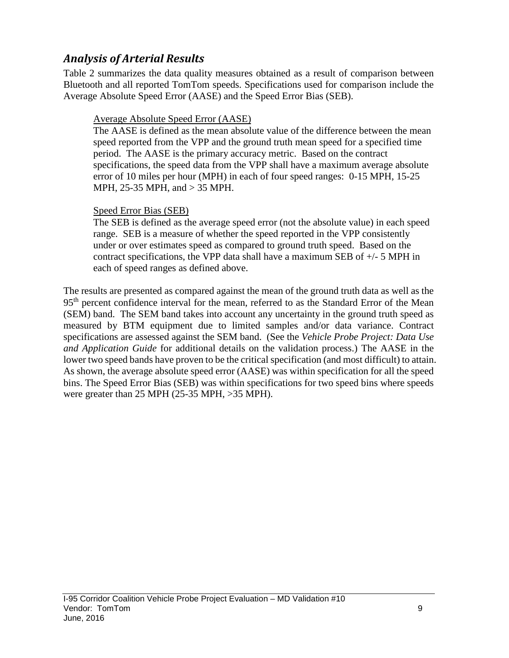# *Analysis of Arterial Results*

Table 2 summarizes the data quality measures obtained as a result of comparison between Bluetooth and all reported TomTom speeds. Specifications used for comparison include the Average Absolute Speed Error (AASE) and the Speed Error Bias (SEB).

## Average Absolute Speed Error (AASE)

The AASE is defined as the mean absolute value of the difference between the mean speed reported from the VPP and the ground truth mean speed for a specified time period. The AASE is the primary accuracy metric. Based on the contract specifications, the speed data from the VPP shall have a maximum average absolute error of 10 miles per hour (MPH) in each of four speed ranges: 0-15 MPH, 15-25 MPH, 25-35 MPH, and > 35 MPH.

## Speed Error Bias (SEB)

The SEB is defined as the average speed error (not the absolute value) in each speed range. SEB is a measure of whether the speed reported in the VPP consistently under or over estimates speed as compared to ground truth speed. Based on the contract specifications, the VPP data shall have a maximum SEB of  $+/-$  5 MPH in each of speed ranges as defined above.

The results are presented as compared against the mean of the ground truth data as well as the 95<sup>th</sup> percent confidence interval for the mean, referred to as the Standard Error of the Mean (SEM) band. The SEM band takes into account any uncertainty in the ground truth speed as measured by BTM equipment due to limited samples and/or data variance. Contract specifications are assessed against the SEM band. (See the *Vehicle Probe Project: Data Use and Application Guide* for additional details on the validation process.) The AASE in the lower two speed bands have proven to be the critical specification (and most difficult) to attain. As shown, the average absolute speed error (AASE) was within specification for all the speed bins. The Speed Error Bias (SEB) was within specifications for two speed bins where speeds were greater than 25 MPH (25-35 MPH, >35 MPH).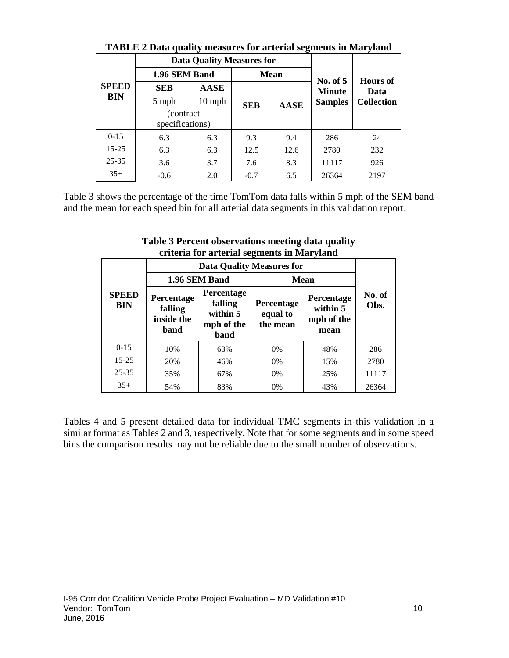|              | TADLE 2 Data quality intasures for alternal segments in Ivial yianu |                                  |            |             |                             |                                              |  |
|--------------|---------------------------------------------------------------------|----------------------------------|------------|-------------|-----------------------------|----------------------------------------------|--|
|              |                                                                     | <b>Data Quality Measures for</b> |            |             |                             |                                              |  |
|              | 1.96 SEM Band                                                       |                                  |            | <b>Mean</b> |                             |                                              |  |
| <b>SPEED</b> | <b>SEB</b><br><b>AASE</b><br>$10$ mph<br>5 mph                      |                                  |            |             | No. of $5$<br><b>Minute</b> | <b>Hours of</b><br>Data<br><b>Collection</b> |  |
| BIN          |                                                                     |                                  | <b>SEB</b> | <b>AASE</b> | <b>Samples</b>              |                                              |  |
|              | (contract)<br>specifications)                                       |                                  |            |             |                             |                                              |  |
| $0 - 15$     | 6.3                                                                 | 6.3                              | 9.3        | 9.4         | 286                         | 24                                           |  |
| $15 - 25$    | 6.3                                                                 | 6.3                              | 12.5       | 12.6        | 2780                        | 232                                          |  |
| $25 - 35$    | 3.6                                                                 | 3.7                              | 7.6        | 8.3         | 11117                       | 926                                          |  |
| $35+$        | $-0.6$                                                              | 2.0                              | $-0.7$     | 6.5         | 26364                       | 2197                                         |  |

**TABLE 2 Data quality measures for arterial segments in Maryland**

Table 3 shows the percentage of the time TomTom data falls within 5 mph of the SEM band and the mean for each speed bin for all arterial data segments in this validation report.

|                            |                                             |                                                         | $\alpha$ and $\alpha$ are considered by $\alpha$ and $\alpha$ and $\beta$ and $\alpha$<br><b>Data Quality Measures for</b> |                                              |                |
|----------------------------|---------------------------------------------|---------------------------------------------------------|----------------------------------------------------------------------------------------------------------------------------|----------------------------------------------|----------------|
|                            |                                             | 1.96 SEM Band                                           | <b>Mean</b>                                                                                                                |                                              |                |
| <b>SPEED</b><br><b>BIN</b> | Percentage<br>falling<br>inside the<br>band | Percentage<br>falling<br>within 5<br>mph of the<br>band | Percentage<br>equal to<br>the mean                                                                                         | Percentage<br>within 5<br>mph of the<br>mean | No. of<br>Obs. |
| $0 - 15$                   | 10%                                         | 63%                                                     | 0%                                                                                                                         | 48%                                          | 286            |
| $15 - 25$                  | 20%                                         | 46%                                                     | 0%                                                                                                                         | 15%                                          | 2780           |
| $25 - 35$                  | 35%<br>67%                                  |                                                         | 0%                                                                                                                         | 25%                                          | 11117          |
| $35+$                      | 54%                                         | 83%                                                     | 0%                                                                                                                         | 43%                                          | 26364          |

**Table 3 Percent observations meeting data quality criteria for arterial segments in Maryland**

Tables 4 and 5 present detailed data for individual TMC segments in this validation in a similar format as Tables 2 and 3, respectively. Note that for some segments and in some speed bins the comparison results may not be reliable due to the small number of observations.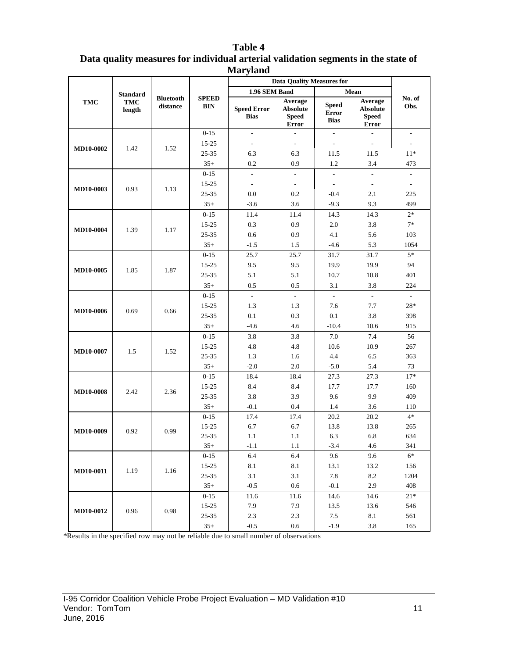|                  |                                  |                              |                                             | <b>Nafyland</b>                                    |                                                     |                                             |                                                                    |                            |
|------------------|----------------------------------|------------------------------|---------------------------------------------|----------------------------------------------------|-----------------------------------------------------|---------------------------------------------|--------------------------------------------------------------------|----------------------------|
|                  |                                  |                              |                                             |                                                    | <b>Data Quality Measures for</b>                    |                                             |                                                                    |                            |
| <b>TMC</b>       | <b>Standard</b><br>TMC<br>length | <b>Bluetooth</b><br>distance | <b>SPEED</b><br><b>BIN</b>                  | 1.96 SEM Band<br><b>Speed Error</b><br><b>Bias</b> | Average<br><b>Absolute</b><br><b>Speed</b><br>Error | <b>Speed</b><br><b>Error</b><br><b>Bias</b> | Mean<br>Average<br><b>Absolute</b><br><b>Speed</b><br><b>Error</b> | No. of<br>Obs.             |
|                  |                                  |                              | $0 - 15$                                    | $\frac{1}{2}$                                      | $\overline{a}$                                      | ÷.                                          | ÷.                                                                 | $\overline{\phantom{a}}$   |
| MD10-0002        | 1.42                             | 1.52                         | $15 - 25$                                   | $\overline{\phantom{a}}$                           | $\sim$                                              | $\sim$                                      | $\overline{\phantom{a}}$                                           | $\mathbf{r}$               |
|                  |                                  |                              | 25-35                                       | 6.3                                                | 6.3                                                 | 11.5                                        | 11.5                                                               | $11*$                      |
|                  |                                  |                              | $35+$                                       | 0.2                                                | 0.9                                                 | 1.2                                         | 3.4                                                                | 473                        |
|                  |                                  |                              | $0 - 15$                                    | $\overline{a}$                                     | $\mathcal{L}$                                       | $\overline{a}$                              | $\overline{\phantom{a}}$                                           | $\overline{\phantom{a}}$   |
| <b>MD10-0003</b> | 0.93                             | 1.13                         | $15 - 25$                                   | $\overline{\phantom{a}}$                           | $\sim$                                              | $\sim$                                      | $\sim$                                                             | $\mathcal{L}$              |
|                  |                                  |                              | $25 - 35$                                   | 0.0                                                | 0.2                                                 | $-0.4$                                      | 2.1                                                                | 225                        |
|                  |                                  |                              | $35+$                                       | $-3.6$                                             | 3.6                                                 | $-9.3$                                      | 9.3                                                                | 499                        |
|                  |                                  |                              | $0 - 15$                                    | 11.4                                               | 11.4                                                | 14.3                                        | 14.3                                                               | $2*$                       |
| <b>MD10-0004</b> | 1.39                             | 1.17                         | $15 - 25$                                   | 0.3                                                | 0.9                                                 | 2.0                                         | 3.8                                                                | $7*$                       |
|                  |                                  |                              | 25-35                                       | 0.6                                                | 0.9                                                 | 4.1                                         | 5.6                                                                | 103                        |
|                  |                                  |                              | $35+$                                       | $-1.5$                                             | 1.5                                                 | $-4.6$                                      | 5.3                                                                | 1054                       |
|                  |                                  |                              | $0 - 15$                                    | 25.7                                               | 25.7                                                | 31.7                                        | 31.7                                                               | $5*$                       |
| MD10-0005        | 1.85                             | 1.87                         | $15 - 25$                                   | 9.5                                                | 9.5                                                 | 19.9                                        | 19.9                                                               | 94                         |
|                  |                                  | $25 - 35$                    | 5.1                                         | 5.1                                                | 10.7                                                | 10.8                                        | 401                                                                |                            |
|                  |                                  |                              | $35+$                                       | 0.5                                                | 0.5                                                 | 3.1                                         | 3.8                                                                | 224                        |
| MD10-0006        |                                  |                              | $0 - 15$                                    | $\mathcal{L}$                                      | $\sim$                                              | $\sim$                                      | $\sim$                                                             | $\sim$                     |
|                  | 0.69                             | 0.66                         | $15 - 25$                                   | 1.3                                                | 1.3                                                 | 7.6                                         | 7.7                                                                | $28*$                      |
|                  |                                  |                              | 25-35                                       | 0.1                                                | 0.3                                                 | 0.1                                         | 3.8                                                                | 398                        |
|                  |                                  |                              | $35+$                                       | $-4.6$                                             | 4.6                                                 | $-10.4$                                     | 10.6                                                               | 915                        |
|                  |                                  |                              | $0 - 15$                                    | 3.8                                                | 3.8                                                 | 7.0                                         | 7.4                                                                | 56                         |
| MD10-0007        | 1.5                              | 1.52                         | $15 - 25$                                   | 4.8                                                | 4.8                                                 | 10.6                                        | 10.9                                                               | 267                        |
|                  |                                  |                              | $25 - 35$                                   | 1.3                                                | 1.6                                                 | 4.4                                         | 6.5                                                                | 363                        |
|                  |                                  |                              | $35+$                                       | $-2.0$                                             | 2.0                                                 | $-5.0$                                      | 5.4                                                                | 73                         |
|                  |                                  |                              | $0 - 15$                                    | 18.4                                               | 18.4                                                | 27.3                                        | 27.3                                                               | $17*$                      |
| <b>MD10-0008</b> | 2.42                             | 2.36                         | $15 - 25$                                   | 8.4                                                | 8.4                                                 | 17.7                                        | 17.7                                                               | 160                        |
|                  |                                  |                              | $25 - 35$                                   | 3.8                                                | 3.9                                                 | 9.6                                         | 9.9                                                                | 409                        |
|                  |                                  |                              | $35+$                                       | $-0.1$                                             | 0.4                                                 | 1.4                                         | 3.6                                                                | 110                        |
|                  |                                  |                              | $0 - 15$                                    | 17.4                                               | 17.4                                                | 20.2                                        | 20.2                                                               | $4*$                       |
| MD10-0009        | 0.92                             | 0.99                         | 15-25<br>$25 - 35$                          | 6.7<br>1.1                                         | 6.7<br>1.1                                          | 13.8<br>6.3                                 | 13.8<br>6.8                                                        | 265<br>634                 |
|                  |                                  |                              |                                             |                                                    |                                                     |                                             |                                                                    | 341                        |
|                  |                                  |                              | $35+$                                       | $-1.1$                                             | 1.1<br>6.4                                          | $-3.4$                                      | 4.6                                                                | $6*$                       |
|                  |                                  |                              | $0 - 15$<br>$15 - 25$                       | 6.4<br>8.1                                         | 8.1                                                 | 9.6<br>13.1                                 | 9.6<br>13.2                                                        | 156                        |
| <b>MD10-0011</b> | 1.19                             | 1.16                         | $25 - 35$                                   | 3.1                                                | 3.1                                                 | 7.8                                         | 8.2                                                                | 1204                       |
|                  |                                  |                              | $35+$                                       | $-0.5$                                             | 0.6                                                 | $-0.1$                                      | 2.9                                                                | 408                        |
|                  |                                  |                              |                                             |                                                    |                                                     |                                             |                                                                    |                            |
|                  |                                  |                              |                                             |                                                    |                                                     |                                             |                                                                    |                            |
| MD10-0012        | 0.96                             | 0.98                         |                                             |                                                    |                                                     |                                             |                                                                    |                            |
|                  |                                  |                              |                                             |                                                    |                                                     |                                             |                                                                    |                            |
|                  |                                  |                              | $0 - 15$<br>$15 - 25$<br>$25 - 35$<br>$35+$ | 11.6<br>7.9<br>2.3<br>$-0.5$                       | 11.6<br>7.9<br>2.3<br>0.6                           | 14.6<br>13.5<br>7.5<br>$-1.9$               | 14.6<br>13.6<br>8.1<br>3.8                                         | $21*$<br>546<br>561<br>165 |

#### **Table 4 Data quality measures for individual arterial validation segments in the state of Maryland**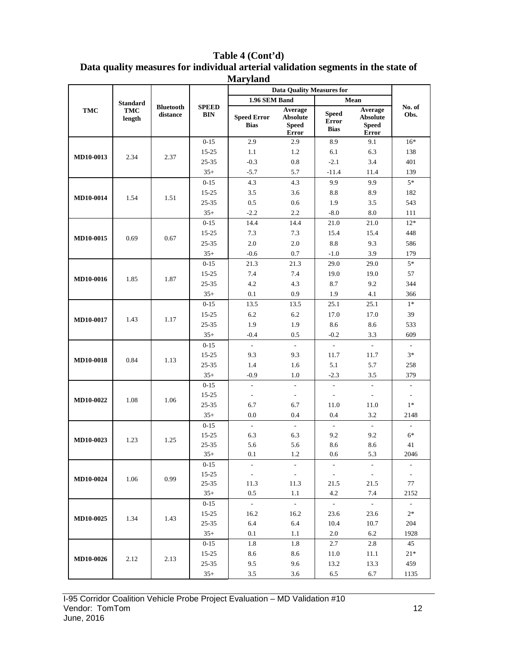# **Table 4 (Cont'd)**

#### **Data quality measures for individual arterial validation segments in the state of Maryland**

|                  |                      |                              |                            | <b>IVIGH</b> y IGHU               | <b>Data Ouality Measures for</b>                    |                                             |                                                     |                          |
|------------------|----------------------|------------------------------|----------------------------|-----------------------------------|-----------------------------------------------------|---------------------------------------------|-----------------------------------------------------|--------------------------|
|                  | <b>Standard</b>      |                              |                            | 1.96 SEM Band                     |                                                     |                                             | Mean                                                |                          |
| TMC              | <b>TMC</b><br>length | <b>Bluetooth</b><br>distance | <b>SPEED</b><br><b>BIN</b> | <b>Speed Error</b><br><b>Bias</b> | Average<br><b>Absolute</b><br><b>Speed</b><br>Error | <b>Speed</b><br><b>Error</b><br><b>Bias</b> | Average<br><b>Absolute</b><br><b>Speed</b><br>Error | No. of<br>Obs.           |
|                  |                      |                              | $0 - 15$                   | 2.9                               | 2.9                                                 | 8.9                                         | 9.1                                                 | $16*$                    |
|                  |                      |                              | 15-25                      | 1.1                               | 1.2                                                 | 6.1                                         | 6.3                                                 | 138                      |
| MD10-0013        | 2.34                 | 2.37                         | $25 - 35$                  | $-0.3$                            | 0.8                                                 | $-2.1$                                      | 3.4                                                 | 401                      |
|                  |                      |                              | $35+$                      | $-5.7$                            | 5.7                                                 | $-11.4$                                     | 11.4                                                | 139                      |
|                  |                      |                              | $0 - 15$                   | 4.3                               | 4.3                                                 | 9.9                                         | 9.9                                                 | $5\,^*$                  |
|                  | 1.54                 | 1.51                         | $15 - 25$                  | 3.5                               | 3.6                                                 | 8.8                                         | 8.9                                                 | 182                      |
| MD10-0014        |                      |                              | 25-35                      | 0.5                               | 0.6                                                 | 1.9                                         | 3.5                                                 | 543                      |
|                  |                      |                              | $35+$                      | $-2.2$                            | 2.2                                                 | $-8.0$                                      | 8.0                                                 | 111                      |
|                  |                      |                              | $0 - 15$                   | 14.4                              | 14.4                                                | 21.0                                        | 21.0                                                | $12*$                    |
| MD10-0015        | 0.69                 | 0.67                         | $15 - 25$                  | 7.3                               | 7.3                                                 | 15.4                                        | 15.4                                                | 448                      |
|                  |                      |                              | $25 - 35$                  | 2.0                               | $2.0\,$                                             | 8.8                                         | 9.3                                                 | 586                      |
|                  |                      |                              | $35+$                      | $-0.6$                            | 0.7                                                 | $-1.0$                                      | 3.9                                                 | 179                      |
|                  |                      |                              | $0 - 15$                   | 21.3                              | 21.3                                                | 29.0                                        | 29.0                                                | $5*$                     |
| MD10-0016        |                      | 1.87                         | $15 - 25$                  | 7.4                               | 7.4                                                 | 19.0                                        | 19.0                                                | 57                       |
|                  | 1.85                 |                              | 25-35                      | 4.2                               | 4.3                                                 | 8.7                                         | 9.2                                                 | 344                      |
|                  |                      |                              | $35+$                      | 0.1                               | 0.9                                                 | 1.9                                         | 4.1                                                 | 366                      |
|                  |                      |                              | $0 - 15$                   | 13.5                              | 13.5                                                | 25.1                                        | 25.1                                                | $1*$                     |
|                  | 1.43                 | 1.17                         | 15-25                      | 6.2                               | 6.2                                                 | 17.0                                        | 17.0                                                | 39                       |
| MD10-0017        |                      |                              | 25-35                      | 1.9                               | 1.9                                                 | 8.6                                         | 8.6                                                 | 533                      |
|                  |                      |                              | $35+$                      | $-0.4$                            | 0.5                                                 | $-0.2$                                      | 3.3                                                 | 609                      |
|                  |                      |                              | $0 - 15$                   | $\mathcal{L}^{\mathcal{L}}$       | $\mathcal{L}^{\mathcal{A}}$                         | $\mathcal{L}$                               | $\mathcal{L}_{\mathcal{A}}$                         | $\overline{\phantom{a}}$ |
| MD10-0018        | 0.84                 | 1.13                         | $15 - 25$                  | 9.3                               | 9.3                                                 | 11.7                                        | 11.7                                                | $3*$                     |
|                  |                      |                              | 25-35                      | 1.4                               | 1.6                                                 | 5.1                                         | 5.7                                                 | 258                      |
|                  |                      |                              | $35+$                      | $-0.9$                            | 1.0                                                 | $-2.3$                                      | 3.5                                                 | 379                      |
|                  |                      |                              | $0 - 15$                   | $\mathcal{L}$                     | $\mathcal{L}$                                       | $\omega$                                    | $\mathcal{L}^{\mathcal{A}}$                         | $\blacksquare$           |
| MD10-0022        | 1.08                 | 1.06                         | $15 - 25$                  | $\overline{\phantom{a}}$          | $\overline{\phantom{a}}$                            | $\overline{\phantom{a}}$                    | $\sim$                                              | $\overline{\phantom{a}}$ |
|                  |                      |                              | $25 - 35$                  | 6.7                               | 6.7                                                 | 11.0                                        | 11.0                                                | $1*$                     |
|                  |                      |                              | $35+$                      | 0.0                               | 0.4                                                 | 0.4                                         | 3.2                                                 | 2148                     |
|                  |                      |                              | $0 - 15$                   | $\mathcal{L}$                     | $\mathcal{L}^{\mathcal{A}}$                         | $\sim$                                      | $\sim$                                              | $\blacksquare$           |
| MD10-0023        | 1.23                 | 1.25                         | $15 - 25$                  | 6.3                               | 6.3                                                 | 9.2                                         | 9.2                                                 | $6*$                     |
|                  |                      |                              | 25-35                      | 5.6                               | 5.6                                                 | 8.6                                         | 8.6                                                 | 41                       |
|                  |                      |                              | $35+$                      | 0.1                               | $1.2\,$                                             | $0.6\,$                                     | 5.3                                                 | 2046                     |
|                  |                      |                              | $0-15$                     | $\overline{\phantom{a}}$          | $\overline{\phantom{a}}$                            |                                             | $\overline{\phantom{a}}$                            |                          |
| <b>MD10-0024</b> | 1.06                 | 0.99                         | 15-25<br>$25 - 35$         | $\sim$<br>11.3                    | $\sim$<br>11.3                                      | $\sim$<br>21.5                              | $\sim$<br>21.5                                      | $\sim$<br>77             |
|                  |                      |                              | $35+$                      | 0.5                               | 1.1                                                 | 4.2                                         | 7.4                                                 | 2152                     |
|                  |                      |                              | $0 - 15$                   | $\sim$                            | $\mathcal{L}^{\mathcal{L}}$                         | $\sim$                                      | $\sim$                                              | $\sim$                   |
|                  |                      |                              | $15 - 25$                  | 16.2                              | 16.2                                                | 23.6                                        | 23.6                                                | $2^*$                    |
| <b>MD10-0025</b> | 1.34                 | 1.43                         | $25 - 35$                  | 6.4                               | 6.4                                                 | 10.4                                        | 10.7                                                | 204                      |
|                  |                      |                              | $35+$                      | 0.1                               | 1.1                                                 | 2.0                                         | 6.2                                                 | 1928                     |
|                  |                      |                              | $0 - 15$                   | 1.8                               | 1.8                                                 | 2.7                                         | $2.8\,$                                             | 45                       |
|                  |                      |                              | 15-25                      | 8.6                               | 8.6                                                 | 11.0                                        | 11.1                                                | $21*$                    |
| <b>MD10-0026</b> | 2.12                 | 2.13                         | $25 - 35$                  | 9.5                               | 9.6                                                 | 13.2                                        | 13.3                                                | 459                      |
|                  |                      |                              | $35+$                      | 3.5                               | 3.6                                                 | 6.5                                         | 6.7                                                 | 1135                     |
|                  |                      |                              |                            |                                   |                                                     |                                             |                                                     |                          |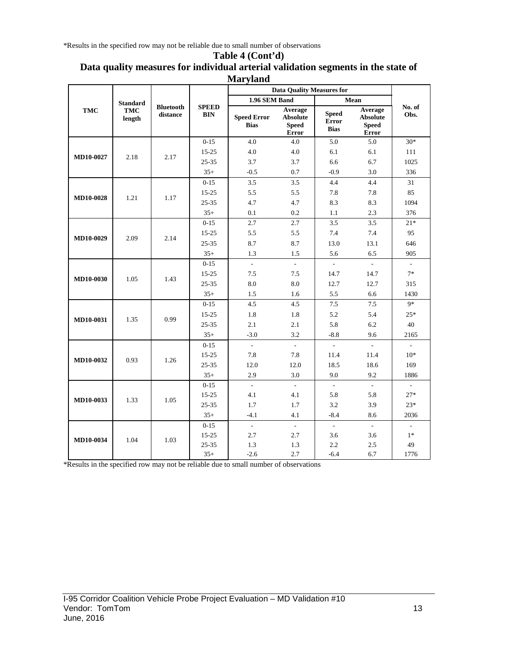\*Results in the specified row may not be reliable due to small number of observations

#### **Table 4 (Cont'd) Data quality measures for individual arterial validation segments in the state of Maryland**

|                  |                          |                              |                            |                                   | <b>Data Quality Measures for</b>                           |                                      |                                                            |                |
|------------------|--------------------------|------------------------------|----------------------------|-----------------------------------|------------------------------------------------------------|--------------------------------------|------------------------------------------------------------|----------------|
|                  | <b>Standard</b>          |                              |                            | 1.96 SEM Band                     |                                                            |                                      | Mean                                                       |                |
| <b>TMC</b>       | <b>TMC</b><br>length     | <b>Bluetooth</b><br>distance | <b>SPEED</b><br><b>BIN</b> | <b>Speed Error</b><br><b>Bias</b> | Average<br><b>Absolute</b><br><b>Speed</b><br><b>Error</b> | <b>Speed</b><br>Error<br><b>Bias</b> | Average<br><b>Absolute</b><br><b>Speed</b><br><b>Error</b> | No. of<br>Obs. |
|                  |                          |                              | $0-15$                     | 4.0                               | 4.0                                                        | 5.0                                  | 5.0                                                        | $30*$          |
| MD10-0027        | 2.18                     | 2.17                         | $15 - 25$                  | 4.0                               | 4.0                                                        | 6.1                                  | 6.1                                                        | 111            |
|                  |                          |                              | $25 - 35$                  | 3.7                               | 3.7                                                        | 6.6                                  | 6.7                                                        | 1025           |
|                  |                          |                              | $35+$                      | $-0.5$                            | 0.7                                                        | $-0.9$                               | 3.0                                                        | 336            |
|                  |                          |                              | $0 - 15$                   | 3.5                               | 3.5                                                        | 4.4                                  | 4.4                                                        | 31             |
| <b>MD10-0028</b> | 1.21                     | 1.17                         | $15 - 25$                  | 5.5                               | 5.5                                                        | 7.8                                  | 7.8                                                        | 85             |
|                  |                          |                              | $25 - 35$                  | 4.7                               | 4.7                                                        | 8.3                                  | 8.3                                                        | 1094           |
|                  |                          |                              | $35+$                      | 0.1                               | 0.2                                                        | 1.1                                  | 2.3                                                        | 376            |
|                  |                          |                              | $0 - 15$                   | 2.7                               | 2.7                                                        | 3.5                                  | 3.5                                                        | $21*$          |
| MD10-0029        | 2.09                     | 2.14                         | $15 - 25$                  | 5.5                               | 5.5                                                        | 7.4                                  | 7.4                                                        | 95             |
|                  |                          |                              | 25-35                      | 8.7                               | 8.7                                                        | 13.0                                 | 13.1                                                       | 646            |
|                  |                          |                              | $35+$                      | 1.3                               | 1.5                                                        | 5.6                                  | 6.5                                                        | 905            |
|                  |                          |                              | $0 - 15$                   | $\overline{a}$                    | $\mathcal{L}$                                              | $\mathbb{Z}^2$                       | $\omega$                                                   | $\sim$         |
|                  |                          | 1.43                         | $15 - 25$                  | 7.5                               | 7.5                                                        | 14.7                                 | 14.7                                                       | $7*$           |
|                  | <b>MD10-0030</b><br>1.05 |                              | $25 - 35$                  | 8.0                               | 8.0                                                        | 12.7                                 | 12.7                                                       | 315            |
|                  |                          |                              | $35+$                      | 1.5                               | 1.6                                                        | 5.5                                  | 6.6                                                        | 1430           |
|                  |                          |                              | $0 - 15$                   | 4.5                               | 4.5                                                        | 7.5                                  | 7.5                                                        | $9*$           |
| MD10-0031        | 1.35                     | 0.99                         | $15 - 25$                  | 1.8                               | 1.8                                                        | 5.2                                  | 5.4                                                        | $25*$          |
|                  |                          |                              | $25 - 35$                  | 2.1                               | 2.1                                                        | 5.8                                  | 6.2                                                        | 40             |
|                  |                          |                              | $35+$                      | $-3.0$                            | 3.2                                                        | $-8.8$                               | 9.6                                                        | 2165           |
|                  |                          |                              | $0 - 15$                   | $\overline{\phantom{a}}$          | $\blacksquare$                                             | $\overline{\phantom{a}}$             | $\blacksquare$                                             | $\mathbf{r}$   |
| MD10-0032        | 0.93                     | 1.26                         | $15 - 25$                  | 7.8                               | 7.8                                                        | 11.4                                 | 11.4                                                       | $10*$          |
|                  |                          |                              | 25-35                      | 12.0                              | 12.0                                                       | 18.5                                 | 18.6                                                       | 169            |
|                  |                          |                              | $35+$                      | 2.9                               | 3.0                                                        | 9.0                                  | 9.2                                                        | 1886           |
|                  |                          |                              | $0 - 15$                   | $\mathcal{L}$                     | $\mathcal{L}$                                              | $\omega$                             | $\sim$                                                     | $\sim$         |
| MD10-0033        | 1.33                     | 1.05                         | $15 - 25$                  | 4.1                               | 4.1                                                        | 5.8                                  | 5.8                                                        | $27*$          |
|                  |                          |                              | 25-35                      | 1.7                               | 1.7                                                        | 3.2                                  | 3.9                                                        | $23*$          |
|                  |                          |                              | $35+$                      | $-4.1$                            | 4.1                                                        | $-8.4$                               | 8.6                                                        | 2036           |
|                  |                          |                              | $0 - 15$                   | $\mathbb{L}$                      | $\mathcal{L}$                                              | $\mathcal{L}$                        | $\mathcal{L}$                                              | $\sim$         |
| MD10-0034        | 1.04                     | 1.03                         | $15 - 25$                  | 2.7                               | 2.7                                                        | 3.6                                  | 3.6                                                        | $1*$           |
|                  |                          |                              | $25 - 35$                  | 1.3                               | 1.3                                                        | 2.2                                  | 2.5                                                        | 49             |
|                  |                          |                              | $35+$                      | $-2.6$                            | 2.7                                                        | $-6.4$                               | 6.7                                                        | 1776           |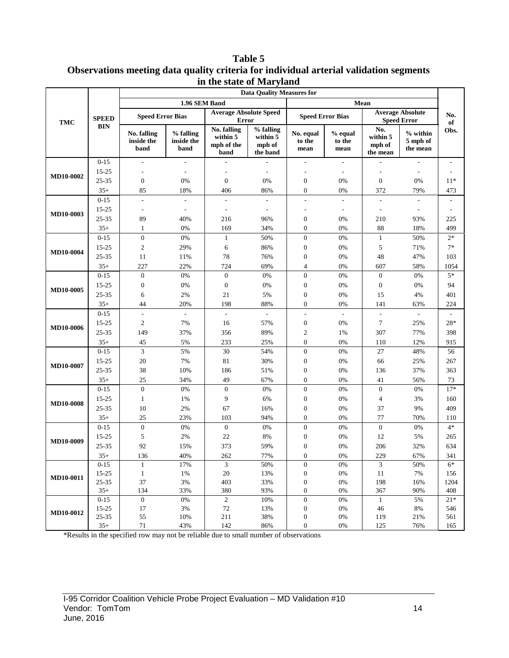**Table 5 Observations meeting data quality criteria for individual arterial validation segments in the state of Maryland**

| 1.96 SEM Band<br>Mean<br><b>Average Absolute Speed</b><br><b>Average Absolute</b><br><b>Speed Error Bias</b><br><b>Speed Error Bias</b><br><b>SPEED</b><br><b>Speed Error</b><br><b>Error</b><br><b>TMC</b><br><b>BIN</b><br>No. falling<br>No.<br>% falling<br>% falling<br>$%$ within<br><b>No. falling</b><br>No. equal<br>$%$ equal<br>within 5<br>within $\overline{5}$<br>within 5<br>inside the<br>to the<br>inside the<br>to the<br>5 mph of<br>mph of the<br>mph of<br>mph of<br>band<br>band<br>the mean<br>mean<br>mean<br>the band<br>the mean<br>band<br>$0 - 15$<br>$\overline{\phantom{a}}$<br>$\frac{1}{2}$<br>L.<br>÷,<br>15-25<br>$\overline{\phantom{a}}$<br>$\overline{\phantom{a}}$<br>$\overline{\phantom{a}}$<br><b>MD10-0002</b><br>25-35<br>$\boldsymbol{0}$<br>$\boldsymbol{0}$<br>0%<br>$\boldsymbol{0}$<br>$\mathbf{0}$<br>0%<br>0%<br>0%<br>$35+$<br>406<br>372<br>85<br>18%<br>86%<br>$\boldsymbol{0}$<br>0%<br>79%<br>$0 - 15$<br>$\overline{\phantom{a}}$<br>$\overline{\phantom{a}}$<br>$\sim$<br>$\overline{\phantom{a}}$<br>$\overline{\phantom{a}}$<br>$\overline{\phantom{a}}$<br>$\overline{\phantom{a}}$<br>$\overline{\phantom{a}}$<br>15-25<br>$\overline{\phantom{a}}$<br>$\overline{\phantom{a}}$<br>$\overline{\phantom{a}}$<br>$\overline{\phantom{a}}$<br>$\overline{\phantom{a}}$<br>$\overline{\phantom{a}}$<br>MD10-0003<br>25-35<br>89<br>40%<br>216<br>96%<br>$\boldsymbol{0}$<br>0%<br>210<br>93%<br>88<br>$35+$<br>34%<br>$\boldsymbol{0}$<br>0%<br>1<br>0%<br>169<br>18%<br>$0 - 15$<br>$\mathbf{0}$<br>$0\%$<br>50%<br>$\boldsymbol{0}$<br>$0\%$<br>$\mathbf{1}$<br>50%<br>$\mathbf{1}$<br>15-25<br>$\mathfrak{2}$<br>29%<br>6<br>86%<br>$\boldsymbol{0}$<br>0%<br>5<br>71%<br>MD10-0004<br>25-35<br>78<br>76%<br>$\boldsymbol{0}$<br>0%<br>48<br>47%<br>11<br>11% |             |
|---------------------------------------------------------------------------------------------------------------------------------------------------------------------------------------------------------------------------------------------------------------------------------------------------------------------------------------------------------------------------------------------------------------------------------------------------------------------------------------------------------------------------------------------------------------------------------------------------------------------------------------------------------------------------------------------------------------------------------------------------------------------------------------------------------------------------------------------------------------------------------------------------------------------------------------------------------------------------------------------------------------------------------------------------------------------------------------------------------------------------------------------------------------------------------------------------------------------------------------------------------------------------------------------------------------------------------------------------------------------------------------------------------------------------------------------------------------------------------------------------------------------------------------------------------------------------------------------------------------------------------------------------------------------------------------------------------------------------------------------------------------------------------------------------------------------------|-------------|
|                                                                                                                                                                                                                                                                                                                                                                                                                                                                                                                                                                                                                                                                                                                                                                                                                                                                                                                                                                                                                                                                                                                                                                                                                                                                                                                                                                                                                                                                                                                                                                                                                                                                                                                                                                                                                           |             |
|                                                                                                                                                                                                                                                                                                                                                                                                                                                                                                                                                                                                                                                                                                                                                                                                                                                                                                                                                                                                                                                                                                                                                                                                                                                                                                                                                                                                                                                                                                                                                                                                                                                                                                                                                                                                                           | No.<br>of   |
|                                                                                                                                                                                                                                                                                                                                                                                                                                                                                                                                                                                                                                                                                                                                                                                                                                                                                                                                                                                                                                                                                                                                                                                                                                                                                                                                                                                                                                                                                                                                                                                                                                                                                                                                                                                                                           | Obs.        |
|                                                                                                                                                                                                                                                                                                                                                                                                                                                                                                                                                                                                                                                                                                                                                                                                                                                                                                                                                                                                                                                                                                                                                                                                                                                                                                                                                                                                                                                                                                                                                                                                                                                                                                                                                                                                                           |             |
|                                                                                                                                                                                                                                                                                                                                                                                                                                                                                                                                                                                                                                                                                                                                                                                                                                                                                                                                                                                                                                                                                                                                                                                                                                                                                                                                                                                                                                                                                                                                                                                                                                                                                                                                                                                                                           |             |
|                                                                                                                                                                                                                                                                                                                                                                                                                                                                                                                                                                                                                                                                                                                                                                                                                                                                                                                                                                                                                                                                                                                                                                                                                                                                                                                                                                                                                                                                                                                                                                                                                                                                                                                                                                                                                           | $11*$       |
|                                                                                                                                                                                                                                                                                                                                                                                                                                                                                                                                                                                                                                                                                                                                                                                                                                                                                                                                                                                                                                                                                                                                                                                                                                                                                                                                                                                                                                                                                                                                                                                                                                                                                                                                                                                                                           | 473         |
|                                                                                                                                                                                                                                                                                                                                                                                                                                                                                                                                                                                                                                                                                                                                                                                                                                                                                                                                                                                                                                                                                                                                                                                                                                                                                                                                                                                                                                                                                                                                                                                                                                                                                                                                                                                                                           |             |
|                                                                                                                                                                                                                                                                                                                                                                                                                                                                                                                                                                                                                                                                                                                                                                                                                                                                                                                                                                                                                                                                                                                                                                                                                                                                                                                                                                                                                                                                                                                                                                                                                                                                                                                                                                                                                           |             |
|                                                                                                                                                                                                                                                                                                                                                                                                                                                                                                                                                                                                                                                                                                                                                                                                                                                                                                                                                                                                                                                                                                                                                                                                                                                                                                                                                                                                                                                                                                                                                                                                                                                                                                                                                                                                                           | 225         |
|                                                                                                                                                                                                                                                                                                                                                                                                                                                                                                                                                                                                                                                                                                                                                                                                                                                                                                                                                                                                                                                                                                                                                                                                                                                                                                                                                                                                                                                                                                                                                                                                                                                                                                                                                                                                                           | 499         |
|                                                                                                                                                                                                                                                                                                                                                                                                                                                                                                                                                                                                                                                                                                                                                                                                                                                                                                                                                                                                                                                                                                                                                                                                                                                                                                                                                                                                                                                                                                                                                                                                                                                                                                                                                                                                                           | $2*$        |
|                                                                                                                                                                                                                                                                                                                                                                                                                                                                                                                                                                                                                                                                                                                                                                                                                                                                                                                                                                                                                                                                                                                                                                                                                                                                                                                                                                                                                                                                                                                                                                                                                                                                                                                                                                                                                           | $7*$        |
|                                                                                                                                                                                                                                                                                                                                                                                                                                                                                                                                                                                                                                                                                                                                                                                                                                                                                                                                                                                                                                                                                                                                                                                                                                                                                                                                                                                                                                                                                                                                                                                                                                                                                                                                                                                                                           | 103         |
| $35+$<br>227<br>22%<br>724<br>69%<br>$\overline{\mathcal{L}}$<br>0%<br>607<br>58%                                                                                                                                                                                                                                                                                                                                                                                                                                                                                                                                                                                                                                                                                                                                                                                                                                                                                                                                                                                                                                                                                                                                                                                                                                                                                                                                                                                                                                                                                                                                                                                                                                                                                                                                         | 1054        |
| $\boldsymbol{0}$<br>$\boldsymbol{0}$<br>$0 - 15$<br>$\mathbf{0}$<br>0%<br>0%<br>0%<br>$\boldsymbol{0}$<br>0%                                                                                                                                                                                                                                                                                                                                                                                                                                                                                                                                                                                                                                                                                                                                                                                                                                                                                                                                                                                                                                                                                                                                                                                                                                                                                                                                                                                                                                                                                                                                                                                                                                                                                                              | $5*$        |
| 15-25<br>$\boldsymbol{0}$<br>$0\%$<br>$\boldsymbol{0}$<br>0%<br>$\boldsymbol{0}$<br>0%<br>$\boldsymbol{0}$<br>0%<br>MD10-0005                                                                                                                                                                                                                                                                                                                                                                                                                                                                                                                                                                                                                                                                                                                                                                                                                                                                                                                                                                                                                                                                                                                                                                                                                                                                                                                                                                                                                                                                                                                                                                                                                                                                                             | 94          |
| 25-35<br>2%<br>21<br>5%<br>$\boldsymbol{0}$<br>0%<br>15<br>4%<br>6                                                                                                                                                                                                                                                                                                                                                                                                                                                                                                                                                                                                                                                                                                                                                                                                                                                                                                                                                                                                                                                                                                                                                                                                                                                                                                                                                                                                                                                                                                                                                                                                                                                                                                                                                        | 401         |
| $35+$<br>44<br>20%<br>198<br>88%<br>$\boldsymbol{0}$<br>0%<br>141<br>63%                                                                                                                                                                                                                                                                                                                                                                                                                                                                                                                                                                                                                                                                                                                                                                                                                                                                                                                                                                                                                                                                                                                                                                                                                                                                                                                                                                                                                                                                                                                                                                                                                                                                                                                                                  | 224         |
| $0 - 15$<br>$\overline{\phantom{a}}$<br>$\overline{\phantom{a}}$<br>$\overline{\phantom{a}}$<br>÷,                                                                                                                                                                                                                                                                                                                                                                                                                                                                                                                                                                                                                                                                                                                                                                                                                                                                                                                                                                                                                                                                                                                                                                                                                                                                                                                                                                                                                                                                                                                                                                                                                                                                                                                        |             |
| $\mathfrak{2}$<br>$\tau$<br>15-25<br>7%<br>16<br>$\boldsymbol{0}$<br>0%<br>57%<br>25%<br><b>MD10-0006</b>                                                                                                                                                                                                                                                                                                                                                                                                                                                                                                                                                                                                                                                                                                                                                                                                                                                                                                                                                                                                                                                                                                                                                                                                                                                                                                                                                                                                                                                                                                                                                                                                                                                                                                                 | 28*         |
| 25-35<br>149<br>37%<br>356<br>89%<br>$\overline{c}$<br>307<br>77%<br>1%                                                                                                                                                                                                                                                                                                                                                                                                                                                                                                                                                                                                                                                                                                                                                                                                                                                                                                                                                                                                                                                                                                                                                                                                                                                                                                                                                                                                                                                                                                                                                                                                                                                                                                                                                   | 398         |
| $35+$<br>5%<br>233<br>25%<br>$\boldsymbol{0}$<br>0%<br>12%<br>45<br>110                                                                                                                                                                                                                                                                                                                                                                                                                                                                                                                                                                                                                                                                                                                                                                                                                                                                                                                                                                                                                                                                                                                                                                                                                                                                                                                                                                                                                                                                                                                                                                                                                                                                                                                                                   | 915         |
| 3<br>$\mathbf{0}$<br>$0 - 15$<br>5%<br>$30\,$<br>54%<br>0%<br>27<br>48%                                                                                                                                                                                                                                                                                                                                                                                                                                                                                                                                                                                                                                                                                                                                                                                                                                                                                                                                                                                                                                                                                                                                                                                                                                                                                                                                                                                                                                                                                                                                                                                                                                                                                                                                                   | 56          |
| 15-25<br>20<br>7%<br>81<br>30%<br>$\boldsymbol{0}$<br>0%<br>66<br>25%<br><b>MD10-0007</b>                                                                                                                                                                                                                                                                                                                                                                                                                                                                                                                                                                                                                                                                                                                                                                                                                                                                                                                                                                                                                                                                                                                                                                                                                                                                                                                                                                                                                                                                                                                                                                                                                                                                                                                                 | 267         |
| 25-35<br>38<br>10%<br>186<br>51%<br>$\boldsymbol{0}$<br>0%<br>37%<br>136                                                                                                                                                                                                                                                                                                                                                                                                                                                                                                                                                                                                                                                                                                                                                                                                                                                                                                                                                                                                                                                                                                                                                                                                                                                                                                                                                                                                                                                                                                                                                                                                                                                                                                                                                  | 363         |
| $35+$<br>49<br>25<br>67%<br>$\boldsymbol{0}$<br>0%<br>41<br>34%<br>56%                                                                                                                                                                                                                                                                                                                                                                                                                                                                                                                                                                                                                                                                                                                                                                                                                                                                                                                                                                                                                                                                                                                                                                                                                                                                                                                                                                                                                                                                                                                                                                                                                                                                                                                                                    | 73          |
| $\overline{0}$<br>$\boldsymbol{0}$<br>$0\%$<br>0%<br>$\boldsymbol{0}$<br>0%<br>$\boldsymbol{0}$<br>$0 - 15$<br>0%                                                                                                                                                                                                                                                                                                                                                                                                                                                                                                                                                                                                                                                                                                                                                                                                                                                                                                                                                                                                                                                                                                                                                                                                                                                                                                                                                                                                                                                                                                                                                                                                                                                                                                         | $17*$       |
| 9<br>15-25<br>1%<br>$\boldsymbol{0}$<br>0%<br>$\overline{4}$<br>3%<br>1<br>6%<br><b>MD10-0008</b>                                                                                                                                                                                                                                                                                                                                                                                                                                                                                                                                                                                                                                                                                                                                                                                                                                                                                                                                                                                                                                                                                                                                                                                                                                                                                                                                                                                                                                                                                                                                                                                                                                                                                                                         | 160         |
| 10<br>67<br>25-35<br>$2\%$<br>16%<br>$\boldsymbol{0}$<br>0%<br>37<br>9%                                                                                                                                                                                                                                                                                                                                                                                                                                                                                                                                                                                                                                                                                                                                                                                                                                                                                                                                                                                                                                                                                                                                                                                                                                                                                                                                                                                                                                                                                                                                                                                                                                                                                                                                                   | 409         |
| 77<br>$35+$<br>25<br>23%<br>103<br>94%<br>$\boldsymbol{0}$<br>0%<br>70%                                                                                                                                                                                                                                                                                                                                                                                                                                                                                                                                                                                                                                                                                                                                                                                                                                                                                                                                                                                                                                                                                                                                                                                                                                                                                                                                                                                                                                                                                                                                                                                                                                                                                                                                                   | 110         |
| $\boldsymbol{0}$<br>$0 - 15$<br>$\boldsymbol{0}$<br>$0\%$<br>$\boldsymbol{0}$<br>$\boldsymbol{0}$<br>0%<br>0%<br>0%                                                                                                                                                                                                                                                                                                                                                                                                                                                                                                                                                                                                                                                                                                                                                                                                                                                                                                                                                                                                                                                                                                                                                                                                                                                                                                                                                                                                                                                                                                                                                                                                                                                                                                       | $4*$        |
| $15 - 25$<br>5<br>2%<br>22<br>8%<br>$\boldsymbol{0}$<br>0%<br>12<br>5%<br><b>MD10-0009</b>                                                                                                                                                                                                                                                                                                                                                                                                                                                                                                                                                                                                                                                                                                                                                                                                                                                                                                                                                                                                                                                                                                                                                                                                                                                                                                                                                                                                                                                                                                                                                                                                                                                                                                                                | 265         |
| 25-35<br>373<br>92<br>15%<br>59%<br>0%<br>206<br>32%<br>0                                                                                                                                                                                                                                                                                                                                                                                                                                                                                                                                                                                                                                                                                                                                                                                                                                                                                                                                                                                                                                                                                                                                                                                                                                                                                                                                                                                                                                                                                                                                                                                                                                                                                                                                                                 | 634         |
| $35+$<br>40%<br>262<br>77%<br>$0\%$<br>229<br>67%<br>136<br>$\Omega$                                                                                                                                                                                                                                                                                                                                                                                                                                                                                                                                                                                                                                                                                                                                                                                                                                                                                                                                                                                                                                                                                                                                                                                                                                                                                                                                                                                                                                                                                                                                                                                                                                                                                                                                                      | 341         |
| 3<br>$\mathfrak{Z}$<br>17%<br>50%<br>$\boldsymbol{0}$<br>$0\%$<br>50%<br>$0-15$<br>$\mathbf{1}$                                                                                                                                                                                                                                                                                                                                                                                                                                                                                                                                                                                                                                                                                                                                                                                                                                                                                                                                                                                                                                                                                                                                                                                                                                                                                                                                                                                                                                                                                                                                                                                                                                                                                                                           | $6*$        |
| $1\%$<br>$20\,$<br>13%<br>$11\,$<br>15-25<br>$\mathbf{1}$<br>$\boldsymbol{0}$<br>$0\%$<br>7%<br>MD10-0011                                                                                                                                                                                                                                                                                                                                                                                                                                                                                                                                                                                                                                                                                                                                                                                                                                                                                                                                                                                                                                                                                                                                                                                                                                                                                                                                                                                                                                                                                                                                                                                                                                                                                                                 | 156         |
| 25-35<br>37<br>$3\%$<br>403<br>33%<br>$\boldsymbol{0}$<br>$0\%$<br>198<br>16%<br>$35+$<br>134<br>33%<br>380<br>93%<br>$\boldsymbol{0}$<br>$0\%$<br>367<br>90%                                                                                                                                                                                                                                                                                                                                                                                                                                                                                                                                                                                                                                                                                                                                                                                                                                                                                                                                                                                                                                                                                                                                                                                                                                                                                                                                                                                                                                                                                                                                                                                                                                                             | 1204<br>408 |
| $\boldsymbol{0}$<br>$\mathbf{2}$<br>10%<br>$\boldsymbol{0}$<br>$0 - 15$<br>$0\%$<br>$0\%$<br>5%<br>$\mathbf{1}$                                                                                                                                                                                                                                                                                                                                                                                                                                                                                                                                                                                                                                                                                                                                                                                                                                                                                                                                                                                                                                                                                                                                                                                                                                                                                                                                                                                                                                                                                                                                                                                                                                                                                                           | $21*$       |
| 17<br>$72\,$<br>$\boldsymbol{0}$<br>15-25<br>$3\%$<br>13%<br>0%<br>$8\%$<br>46                                                                                                                                                                                                                                                                                                                                                                                                                                                                                                                                                                                                                                                                                                                                                                                                                                                                                                                                                                                                                                                                                                                                                                                                                                                                                                                                                                                                                                                                                                                                                                                                                                                                                                                                            | 546         |
| MD10-0012<br>25-35<br>55<br>211<br>38%<br>10%<br>$\boldsymbol{0}$<br>$0\%$<br>119<br>21%                                                                                                                                                                                                                                                                                                                                                                                                                                                                                                                                                                                                                                                                                                                                                                                                                                                                                                                                                                                                                                                                                                                                                                                                                                                                                                                                                                                                                                                                                                                                                                                                                                                                                                                                  | 561         |
| $71\,$<br>$35+$<br>43%<br>142<br>86%<br>$0\%$<br>125<br>0<br>76%                                                                                                                                                                                                                                                                                                                                                                                                                                                                                                                                                                                                                                                                                                                                                                                                                                                                                                                                                                                                                                                                                                                                                                                                                                                                                                                                                                                                                                                                                                                                                                                                                                                                                                                                                          | 165         |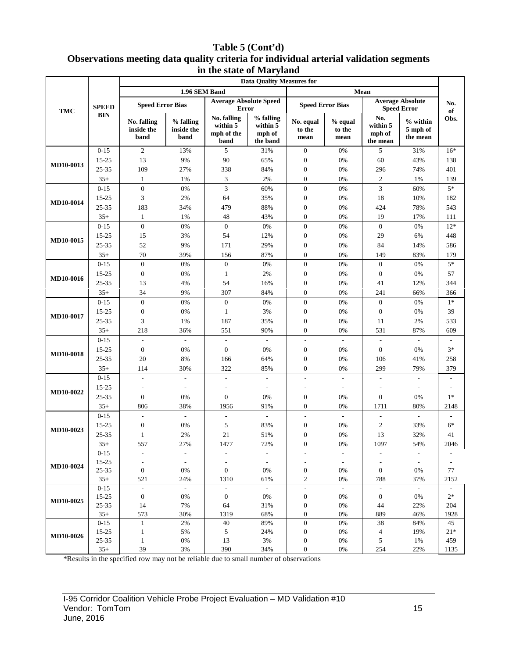### **Table 5 (Cont'd) Observations meeting data quality criteria for individual arterial validation segments in the state of Maryland**

|                  |                   |                                   |                                    |                                               | $\sim$ $\sim$ $\sim$ $\sim$ $\sim$ $\sim$<br><b>Data Quality Measures for</b> |                                        |                             |                                       |                                               |                                  |
|------------------|-------------------|-----------------------------------|------------------------------------|-----------------------------------------------|-------------------------------------------------------------------------------|----------------------------------------|-----------------------------|---------------------------------------|-----------------------------------------------|----------------------------------|
|                  |                   |                                   | 1.96 SEM Band                      |                                               |                                                                               |                                        |                             | Mean                                  |                                               |                                  |
| <b>TMC</b>       | <b>SPEED</b>      | <b>Speed Error Bias</b>           |                                    | <b>Average Absolute Speed</b><br><b>Error</b> |                                                                               | <b>Speed Error Bias</b>                |                             |                                       | <b>Average Absolute</b><br><b>Speed Error</b> | No.<br>of                        |
|                  | <b>BIN</b>        | No. falling<br>inside the<br>band | % falling<br>inside the<br>band    | No. falling<br>within 5<br>mph of the<br>band | % falling<br>within 5<br>mph of<br>the band                                   | No. equal<br>to the<br>mean            | $%$ equal<br>to the<br>mean | No.<br>within 5<br>mph of<br>the mean | $%$ within<br>5 mph of<br>the mean            | Obs.                             |
|                  | $0 - 15$          | 2                                 | 13%                                | 5                                             | 31%                                                                           | $\mathbf{0}$                           | 0%                          | 5                                     | 31%                                           | $16*$                            |
| MD10-0013        | $15 - 25$         | 13                                | 9%                                 | 90                                            | 65%                                                                           | $\boldsymbol{0}$                       | 0%                          | 60                                    | 43%                                           | 138                              |
|                  | 25-35             | 109                               | 27%                                | 338                                           | 84%                                                                           | $\boldsymbol{0}$                       | 0%                          | 296                                   | 74%                                           | 401                              |
|                  | $35+$             | $\mathbf{1}$                      | 1%                                 | 3                                             | 2%                                                                            | $\boldsymbol{0}$                       | 0%                          | $\overline{c}$                        | 1%                                            | 139                              |
|                  | $0 - 15$          | $\boldsymbol{0}$                  | $0\%$                              | 3                                             | 60%                                                                           | $\boldsymbol{0}$                       | $0\%$                       | $\mathfrak{Z}$                        | 60%                                           | $5*$                             |
| <b>MD10-0014</b> | 15-25             | 3                                 | 2%                                 | 64                                            | 35%                                                                           | $\boldsymbol{0}$                       | $0\%$                       | 18                                    | 10%                                           | 182                              |
|                  | 25-35             | 183                               | 34%                                | 479                                           | 88%                                                                           | $\boldsymbol{0}$                       | $0\%$                       | 424                                   | 78%                                           | 543                              |
|                  | $35+$             | $\mathbf{1}$                      | 1%                                 | 48                                            | 43%                                                                           | $\boldsymbol{0}$                       | 0%                          | 19                                    | 17%                                           | 111                              |
|                  | $0 - 15$          | $\overline{0}$                    | 0%                                 | $\boldsymbol{0}$                              | 0%                                                                            | $\boldsymbol{0}$                       | 0%                          | $\boldsymbol{0}$                      | 0%                                            | $12*$                            |
| MD10-0015        | 15-25             | 15                                | 3%                                 | 54                                            | 12%                                                                           | $\boldsymbol{0}$                       | $0\%$                       | 29                                    | 6%                                            | 448                              |
|                  | 25-35             | 52                                | 9%                                 | 171                                           | 29%                                                                           | $\boldsymbol{0}$                       | 0%                          | 84                                    | 14%                                           | 586                              |
|                  | $35+$             | 70                                | 39%                                | 156                                           | 87%                                                                           | $\boldsymbol{0}$                       | 0%                          | 149                                   | 83%                                           | 179                              |
|                  | $0 - 15$          | $\mathbf{0}$                      | $0\%$                              | $\mathbf{0}$                                  | 0%                                                                            | $\boldsymbol{0}$                       | 0%                          | $\boldsymbol{0}$                      | 0%                                            | $5*$                             |
| MD10-0016        | 15-25             | $\boldsymbol{0}$                  | 0%                                 | 1                                             | 2%                                                                            | $\boldsymbol{0}$                       | $0\%$                       | $\boldsymbol{0}$                      | 0%                                            | 57                               |
|                  | 25-35             | 13                                | 4%                                 | 54                                            | 16%                                                                           | $\boldsymbol{0}$                       | $0\%$                       | 41                                    | 12%                                           | 344                              |
|                  | $35+$             | 34                                | 9%                                 | 307                                           | 84%                                                                           | $\boldsymbol{0}$                       | 0%                          | 241                                   | 66%                                           | 366                              |
|                  | $0 - 15$          | $\mathbf{0}$                      | 0%                                 | $\boldsymbol{0}$                              | 0%                                                                            | $\boldsymbol{0}$                       | 0%                          | $\boldsymbol{0}$                      | 0%                                            | $1*$                             |
| MD10-0017        | 15-25             | $\boldsymbol{0}$                  | $0\%$                              | $\mathbf{1}$                                  | 3%                                                                            | $\boldsymbol{0}$                       | $0\%$                       | $\boldsymbol{0}$                      | 0%                                            | 39                               |
|                  | 25-35             | 3                                 | 1%                                 | 187                                           | 35%                                                                           | $\boldsymbol{0}$                       | 0%                          | 11                                    | 2%                                            | 533                              |
|                  | $35+$             | 218                               | 36%                                | 551                                           | 90%                                                                           | $\boldsymbol{0}$                       | 0%                          | 531                                   | 87%                                           | 609                              |
|                  | $0 - 15$          | $\overline{a}$                    | $\overline{\phantom{a}}$           | $\overline{\phantom{a}}$                      | $\omega$                                                                      | $\overline{\phantom{a}}$               | $\mathbb{L}$                | $\overline{\phantom{a}}$              | $\overline{\phantom{a}}$                      |                                  |
| MD10-0018        | 15-25             | $\boldsymbol{0}$                  | 0%                                 | $\boldsymbol{0}$                              | $0\%$                                                                         | $\boldsymbol{0}$                       | $0\%$                       | $\boldsymbol{0}$                      | 0%                                            | $3*$                             |
|                  | 25-35             | 20                                | 8%                                 | 166                                           | 64%                                                                           | $\boldsymbol{0}$                       | 0%                          | 106                                   | 41%                                           | 258                              |
|                  | $35+$             | 114                               | 30%                                | 322                                           | 85%                                                                           | $\boldsymbol{0}$                       | 0%                          | 299                                   | 79%                                           | 379                              |
|                  | $0 - 15$          | $\overline{\phantom{a}}$          | $\overline{\phantom{a}}$           | ÷                                             | $\sim$                                                                        | $\overline{\phantom{a}}$               | $\mathbf{r}$                | ÷                                     | $\mathbf{r}$                                  | $\sim$                           |
| <b>MD10-0022</b> | 15-25             | $\overline{a}$                    | $\overline{\phantom{a}}$           |                                               | $\overline{\phantom{a}}$                                                      | $\overline{\phantom{a}}$               | $\overline{\phantom{a}}$    |                                       | $\overline{\phantom{a}}$                      |                                  |
|                  | 25-35             | $\boldsymbol{0}$                  | 0%                                 | $\overline{0}$                                | 0%                                                                            | $\boldsymbol{0}$                       | 0%                          | $\boldsymbol{0}$                      | 0%                                            | $1*$                             |
|                  | $35+$             | 806                               | 38%                                | 1956                                          | 91%                                                                           | $\boldsymbol{0}$                       | 0%                          | 1711                                  | 80%                                           | 2148                             |
|                  | $0 - 15$          |                                   | $\mathbf{r}$                       | $\overline{a}$                                | $\mathbf{r}$                                                                  | L.                                     | $\mathbb{Z}^2$              | $\overline{\phantom{a}}$              | $\sim$                                        |                                  |
| MD10-0023        | 15-25             | $\mathbf{0}$                      | 0%                                 | 5                                             | 83%                                                                           | $\boldsymbol{0}$                       | $0\%$                       | $\boldsymbol{2}$                      | 33%                                           | $6*$                             |
|                  | 25-35             | $\mathbf{1}$                      | 2%                                 | 21                                            | 51%                                                                           | $\boldsymbol{0}$                       | 0%                          | 13                                    | 32%                                           | 41                               |
|                  | $35+$             | 557                               | 27%                                | 1477                                          | 72%                                                                           | $\boldsymbol{0}$                       | 0%                          | 1097                                  | 54%                                           | 2046                             |
|                  | $0-15$            | $\qquad \qquad \blacksquare$      | $\overline{\phantom{a}}$           | $\overline{\phantom{a}}$                      | $\overline{\phantom{a}}$                                                      | $\overline{\phantom{a}}$               | $\overline{\phantom{a}}$    | $\overline{\phantom{a}}$              | $\overline{\phantom{a}}$                      |                                  |
| MD10-0024        | 15-25             |                                   | $\overline{\phantom{a}}$           |                                               | $\overline{\phantom{a}}$                                                      | $\overline{\phantom{a}}$               | $\overline{\phantom{a}}$    |                                       | $\overline{\phantom{a}}$                      |                                  |
|                  | 25-35             | $\boldsymbol{0}$                  | 0%                                 | $\boldsymbol{0}$                              | 0%                                                                            | $\boldsymbol{0}$                       | 0%                          | $\boldsymbol{0}$                      | 0%                                            | 77                               |
|                  | $35+$<br>$0 - 15$ | 521<br>$\overline{\phantom{a}}$   | 24%<br>$\mathcal{L}_{\mathcal{A}}$ | 1310<br>$\overline{\phantom{a}}$              | 61%<br>$\overline{\phantom{a}}$                                               | $\sqrt{2}$<br>$\overline{\phantom{a}}$ | 0%<br>$\blacksquare$        | 788<br>$\overline{\phantom{a}}$       | 37%<br>$\sim$                                 | 2152<br>$\overline{\phantom{a}}$ |
|                  | 15-25             | $\boldsymbol{0}$                  | 0%                                 | $\mathbf{0}$                                  | 0%                                                                            | $\boldsymbol{0}$                       | 0%                          | $\boldsymbol{0}$                      | 0%                                            | $2\ast$                          |
| MD10-0025        | 25-35             | 14                                | 7%                                 | 64                                            | 31%                                                                           | $\boldsymbol{0}$                       | $0\%$                       | 44                                    | 22%                                           | 204                              |
|                  | $35+$             | 573                               | 30%                                | 1319                                          | 68%                                                                           | $\boldsymbol{0}$                       | 0%                          | 889                                   | 46%                                           | 1928                             |
|                  | $0 - 15$          | 1                                 | 2%                                 | 40                                            | 89%                                                                           | $\boldsymbol{0}$                       | $0\%$                       | 38                                    | 84%                                           | 45                               |
|                  | 15-25             | $\mathbf{1}$                      | 5%                                 | $\sqrt{5}$                                    | 24%                                                                           | $\boldsymbol{0}$                       | $0\%$                       | $\overline{\mathcal{A}}$              | 19%                                           | $21*$                            |
| MD10-0026        | 25-35             | $\mathbf{1}$                      | $0\%$                              | 13                                            | 3%                                                                            | $\boldsymbol{0}$                       | $0\%$                       | 5                                     | 1%                                            | 459                              |
|                  | $35+$             | 39                                | 3%                                 | 390                                           | 34%                                                                           | $\boldsymbol{0}$                       | 0%                          | 254                                   | 22%                                           | 1135                             |